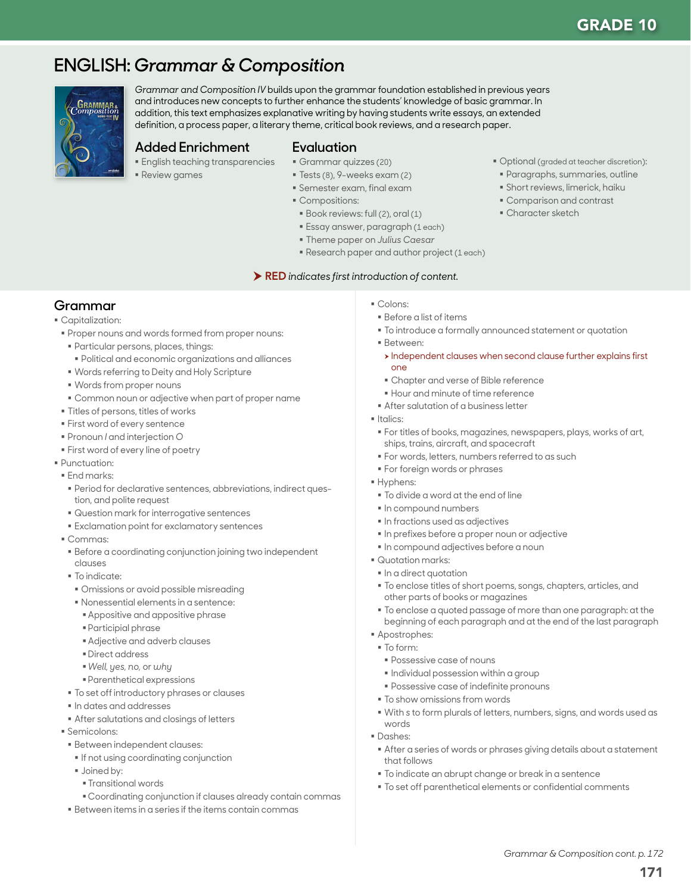# **ENGLISH:** *Grammar & Composition*



*Grammar and Composition IV* builds upon the grammar foundation established in previous years and introduces new concepts to further enhance the students' knowledge of basic grammar. In addition, this text emphasizes explanative writing by having students write essays, an extended definition, a process paper, a literary theme, critical book reviews, and a research paper.

#### **Added Enrichment**

- **English teaching transparencies**
- Review games

#### **Evaluation**

- Grammar quizzes (20)
- Tests (8), 9-weeks exam (2)
- Semester exam, final exam
- Compositions:
- Book reviews: full (2), oral (1)
- Optional (graded at teacher discretion):
- Paragraphs, summaries, outline
- Short reviews, limerick, haiku Comparison and contrast
- Character sketch
- 
- Essay answer, paragraph (1 each) Theme paper on *Julius Caesar*
- 
- Research paper and author project (1 each)

#### RED *indicates first introduction of content.*

## **Grammar**

#### Capitalization:

- Proper nouns and words formed from proper nouns:
- Particular persons, places, things:
- Political and economic organizations and alliances
- Words referring to Deity and Holy Scripture
- Words from proper nouns
- Common noun or adjective when part of proper name
- Titles of persons, titles of works
- First word of every sentence
- Pronoun *I* and interjection *O*
- **First word of every line of poetry**
- Punctuation:
- **End marks:**
- Period for declarative sentences, abbreviations, indirect question, and polite request
- Question mark for interrogative sentences
- Exclamation point for exclamatory sentences
- Commas:
- Before a coordinating conjunction joining two independent clauses
- To indicate:
- Omissions or avoid possible misreading
- Nonessential elements in a sentence:
- Appositive and appositive phrase
- Participial phrase
- Adjective and adverb clauses
- Direct address
- *Well, yes, no,* or *why*
- Parenthetical expressions
- $\blacksquare$  To set off introductory phrases or clauses
- $\blacksquare$  In dates and addresses
- After salutations and closings of letters
- Semicolons:
- Between independent clauses:
- **If not using coordinating conjunction**
- **Joined by:** 
	- Transitional words
	- Coordinating conjunction if clauses already contain commas
- Between items in a series if the items contain commas
- Colons:
- Before a list of items
- To introduce a formally announced statement or quotation
- Between:
- $\rightarrow$  Independent clauses when second clause further explains first one
- Chapter and verse of Bible reference
- **Hour and minute of time reference**
- **After salutation of a business letter**
- Italics:
	- For titles of books, magazines, newspapers, plays, works of art, ships, trains, aircraft, and spacecraft
	- For words, letters, numbers referred to as such
- **For foreign words or phrases**
- Hyphens:
- To divide a word at the end of line
- $\blacksquare$  In compound numbers
- $\blacksquare$  In fractions used as adjectives
- In prefixes before a proper noun or adjective
- $\blacksquare$  In compound adjectives before a noun
- Quotation marks:
- $\blacksquare$  In a direct quotation
- To enclose titles of short poems, songs, chapters, articles, and other parts of books or magazines
- To enclose a quoted passage of more than one paragraph: at the beginning of each paragraph and at the end of the last paragraph
- Apostrophes:
- To form:
- Possessive case of nouns
- $\blacksquare$  Individual possession within a group
- Possessive case of indefinite pronouns
- $\blacksquare$  To show omissions from words
- With *s* to form plurals of letters, numbers, signs, and words used as words
- Dashes:
- After a series of words or phrases giving details about a statement that follows
- To indicate an abrupt change or break in a sentence
- To set off parenthetical elements or confidential comments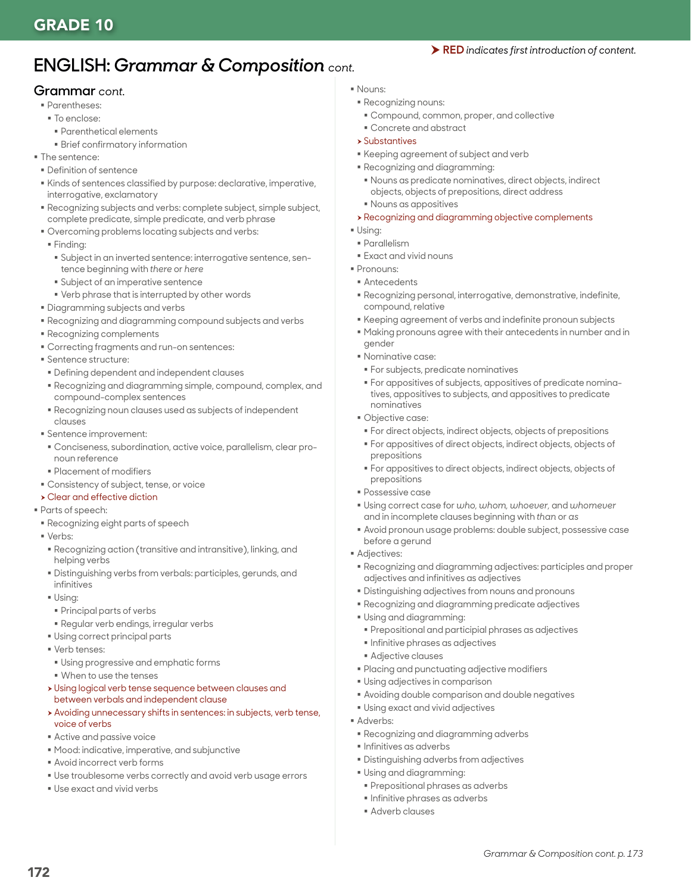# **ENGLISH:** *Grammar & Composition cont.*

#### **Grammar** *cont.*

- Parentheses:
- To enclose:
	- Parenthetical elements
	- Brief confirmatory information
- **The sentence:**
- Definition of sentence
- Kinds of sentences classified by purpose: declarative, imperative, interrogative, exclamatory
- Recognizing subjects and verbs: complete subject, simple subject, complete predicate, simple predicate, and verb phrase
- Overcoming problems locating subjects and verbs:
- Finding:
- Subject in an inverted sentence: interrogative sentence, sentence beginning with *there* or *here*
- Subject of an imperative sentence
- Verb phrase that is interrupted by other words
- Diagramming subjects and verbs
- Recognizing and diagramming compound subjects and verbs
- Recognizing complements
- Correcting fragments and run-on sentences:
- **Sentence structure:**
- Defining dependent and independent clauses
- Recognizing and diagramming simple, compound, complex, and compound-complex sentences
- Recognizing noun clauses used as subjects of independent clauses
- Sentence improvement:
- Conciseness, subordination, active voice, parallelism, clear pronoun reference
- Placement of modifiers
- Consistency of subject, tense, or voice
- $\rightarrow$  Clear and effective diction
- Parts of speech:
- Recognizing eight parts of speech
- Verbs:
- Recognizing action (transitive and intransitive), linking, and helping verbs
- Distinguishing verbs from verbals: participles, gerunds, and infinitives
- Using:
- Principal parts of verbs
- Regular verb endings, irregular verbs
- Using correct principal parts
- **Verb tenses:**
- Using progressive and emphatic forms
- When to use the tenses
- h Using logical verb tense sequence between clauses and between verbals and independent clause
- h Avoiding unnecessary shifts in sentences: in subjects, verb tense, voice of verbs
- Active and passive voice
- Mood: indicative, imperative, and subjunctive
- Avoid incorrect verb forms
- Use troublesome verbs correctly and avoid verb usage errors
- Use exact and vivid verbs
- Nouns:
- Recognizing nouns:
- Compound, common, proper, and collective
- Concrete and abstract
- $\rightarrow$  Substantives
- Keeping agreement of subject and verb
- Recognizing and diagramming:
	- Nouns as predicate nominatives, direct objects, indirect objects, objects of prepositions, direct address
- Nouns as appositives
- $\rightarrow$  Recognizing and diagramming objective complements
- $\blacksquare$  Using:
- Parallelism
- **Exact and vivid nouns**
- Pronouns:
- Antecedents
- Recognizing personal, interrogative, demonstrative, indefinite, compound, relative
- Keeping agreement of verbs and indefinite pronoun subjects
- Making pronouns agree with their antecedents in number and in gender
- Nominative case:
- For subjects, predicate nominatives
- For appositives of subjects, appositives of predicate nominatives, appositives to subjects, and appositives to predicate nominatives
- Objective case:
	- For direct objects, indirect objects, objects of prepositions
- For appositives of direct objects, indirect objects, objects of prepositions
- For appositives to direct objects, indirect objects, objects of prepositions
- Possessive case
- Using correct case for *who, whom, whoever,* and *whomever* and in incomplete clauses beginning with *than* or *as*
- Avoid pronoun usage problems: double subject, possessive case before a gerund
- **Adjectives:** 
	- Recognizing and diagramming adjectives: participles and proper adjectives and infinitives as adjectives
- Distinguishing adjectives from nouns and pronouns
- Recognizing and diagramming predicate adjectives
- Using and diagramming:
	- Prepositional and participial phrases as adjectives
	- **Infinitive phrases as adjectives**
- Adjective clauses
- Placing and punctuating adjective modifiers
- Using adjectives in comparison
- Avoiding double comparison and double negatives
- Using exact and vivid adjectives
- Adverbs:
- Recognizing and diagramming adverbs
- **Infinitives as adverbs**
- Distinguishing adverbs from adjectives
- Using and diagramming:
- Prepositional phrases as adverbs
- **Infinitive phrases as adverbs**
- Adverb clauses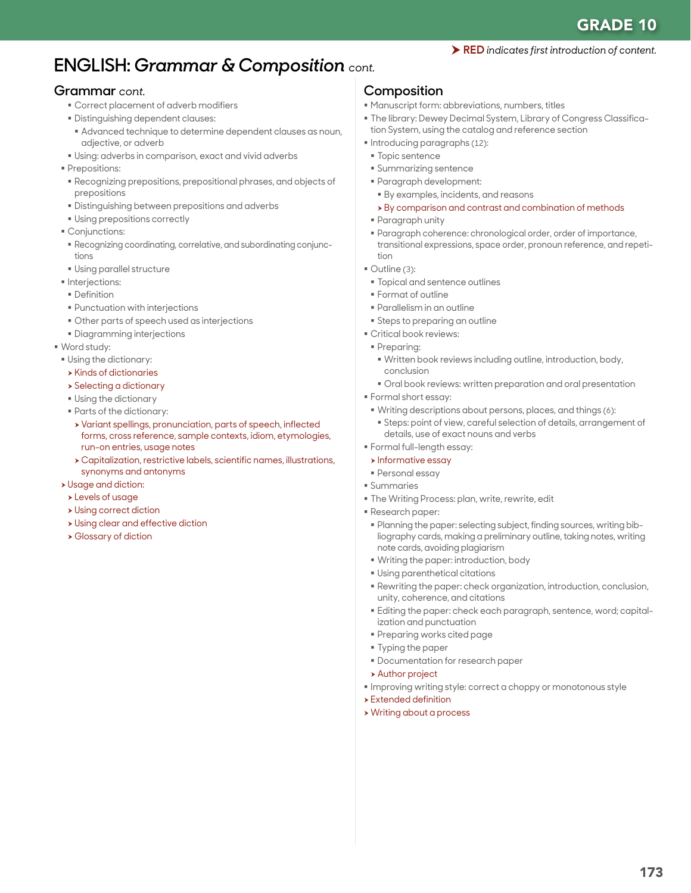# **ENGLISH:** *Grammar & Composition cont.*

## **Grammar** *cont.*

- Correct placement of adverb modifiers
- Distinguishing dependent clauses:
- Advanced technique to determine dependent clauses as noun, adjective, or adverb
- Using: adverbs in comparison, exact and vivid adverbs
- **Prepositions:**
- Recognizing prepositions, prepositional phrases, and objects of prepositions
- Distinguishing between prepositions and adverbs
- Using prepositions correctly
- **Conjunctions:**
- Recognizing coordinating, correlative, and subordinating conjunctions
- Using parallel structure
- **Interjections:**
- **Definition**
- Punctuation with interjections
- Other parts of speech used as interjections
- Diagramming interjections
- Word study:
- Using the dictionary:
- $\rightarrow$  Kinds of dictionaries
- **>** Selecting a dictionary
- Using the dictionary
- Parts of the dictionary:
- h Variant spellings, pronunciation, parts of speech, inflected forms, cross reference, sample contexts, idiom, etymologies, run-on entries, usage notes
- $\rightarrow$  Capitalization, restrictive labels, scientific names, illustrations, synonyms and antonyms
- **>** Usage and diction:
- **>Levels of usage**
- $\rightarrow$  Using correct diction
- **> Using clear and effective diction**
- **> Glossary of diction**

## **Composition**

- Manuscript form: abbreviations, numbers, titles
- The library: Dewey Decimal System, Library of Congress Classification System, using the catalog and reference section

RED *indicates first introduction of content.*

- Introducing paragraphs (12):
- **Topic sentence**
- Summarizing sentence
- Paragraph development:
- By examples, incidents, and reasons
- $\rightarrow$  By comparison and contrast and combination of methods
- Paragraph unity
- Paragraph coherence: chronological order, order of importance, transitional expressions, space order, pronoun reference, and repetition
- Outline (3):
- **Topical and sentence outlines**
- Format of outline
- Parallelism in an outline
- **Steps to preparing an outline**
- Critical book reviews:
- **Preparing:**
- Written book reviews including outline, introduction, body, conclusion
- Oral book reviews: written preparation and oral presentation
- Formal short essay:
- Writing descriptions about persons, places, and things (6):
- Steps: point of view, careful selection of details, arrangement of details, use of exact nouns and verbs
- Formal full-length essay:
- $\triangleright$  Informative essay
- Personal essay
- Summaries
- The Writing Process: plan, write, rewrite, edit
- Research paper:
- Planning the paper: selecting subject, finding sources, writing bibliography cards, making a preliminary outline, taking notes, writing note cards, avoiding plagiarism
- Writing the paper: introduction, body
- Using parenthetical citations
- Rewriting the paper: check organization, introduction, conclusion, unity, coherence, and citations
- Editing the paper: check each paragraph, sentence, word; capitalization and punctuation
- Preparing works cited page
- Typing the paper
- Documentation for research paper
- > Author project
- Improving writing style: correct a choppy or monotonous style
- $\blacktriangleright$  Extended definition
- **> Writing about a process**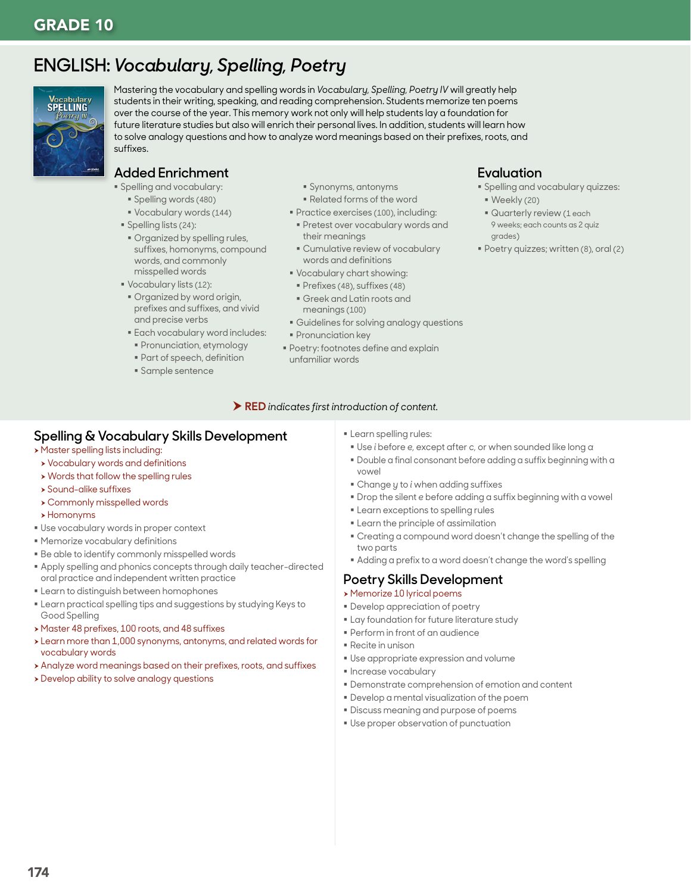# **ENGLISH:** *Vocabulary, Spelling, Poetry*



Mastering the vocabulary and spelling words in *Vocabulary, Spelling, Poetry IV* will greatly help students in their writing, speaking, and reading comprehension. Students memorize ten poems over the course of the year. This memory work not only will help students lay a foundation for future literature studies but also will enrich their personal lives. In addition, students will learn how to solve analogy questions and how to analyze word meanings based on their prefixes, roots, and suffixes.

## **Added Enrichment**

- Spelling and vocabulary:
	- Spelling words (480)
	- Vocabulary words (144)
- Spelling lists (24):
- **Organized by spelling rules,** suffixes, homonyms, compound words, and commonly misspelled words
- Vocabulary lists (12):
- Organized by word origin, prefixes and suffixes, and vivid and precise verbs
- **Each vocabulary word includes:**
- **Pronunciation, etymology**
- Part of speech, definition
- Sample sentence
- Synonyms, antonyms
- Related forms of the word
- **Practice exercises (100), including:**
- **Pretest over vocabulary words and** their meanings
- Cumulative review of vocabulary words and definitions
- Vocabulary chart showing:
- Prefixes (48), suffixes (48)
- Greek and Latin roots and meanings (100)
- Guidelines for solving analogy questions
- **Pronunciation key**
- **Poetry: footnotes define and explain** unfamiliar words

#### RED *indicates first introduction of content.*

## **Spelling & Vocabulary Skills Development**

- **> Master spelling lists including:**
- **>** Vocabulary words and definitions
- $\rightarrow$  Words that follow the spelling rules
- $\rightarrow$  Sound-alike suffixes
- **> Commonly misspelled words**
- $\rightarrow$  Homonyms
- Use vocabulary words in proper context
- Memorize vocabulary definitions
- Be able to identify commonly misspelled words
- Apply spelling and phonics concepts through daily teacher-directed oral practice and independent written practice
- Learn to distinguish between homophones
- Learn practical spelling tips and suggestions by studying Keys to Good Spelling
- ▶ Master 48 prefixes, 100 roots, and 48 suffixes
- $\rightarrow$  Learn more than 1,000 synonyms, antonyms, and related words for vocabulary words
- h Analyze word meanings based on their prefixes, roots, and suffixes
- $\rightarrow$  Develop ability to solve analogy questions

**Learn spelling rules:** 

- Use *i* before *e,* except after *c,* or when sounded like long *a*
- Double a final consonant before adding a suffix beginning with a vowel

**Evaluation**

Weekly (20)

grades)

Spelling and vocabulary quizzes:

Poetry quizzes; written (8), oral (2)

**Quarterly review (1 each** 9 weeks; each counts as 2 quiz

- Change *y* to *i* when adding suffixes
- Drop the silent *e* before adding a suffix beginning with a vowel
- **Example 2** Learn exceptions to spelling rules
- **Example 1** Learn the principle of assimilation
- Creating a compound word doesn't change the spelling of the two parts
- Adding a prefix to a word doesn't change the word's spelling

## **Poetry Skills Development**

#### h Memorize 10 lyrical poems

- Develop appreciation of poetry
- **Example 1** Lay foundation for future literature study
- Perform in front of an audience
- Recite in unison
- Use appropriate expression and volume
- **Increase vocabulary**
- Demonstrate comprehension of emotion and content
- Develop a mental visualization of the poem
- Discuss meaning and purpose of poems
- Use proper observation of punctuation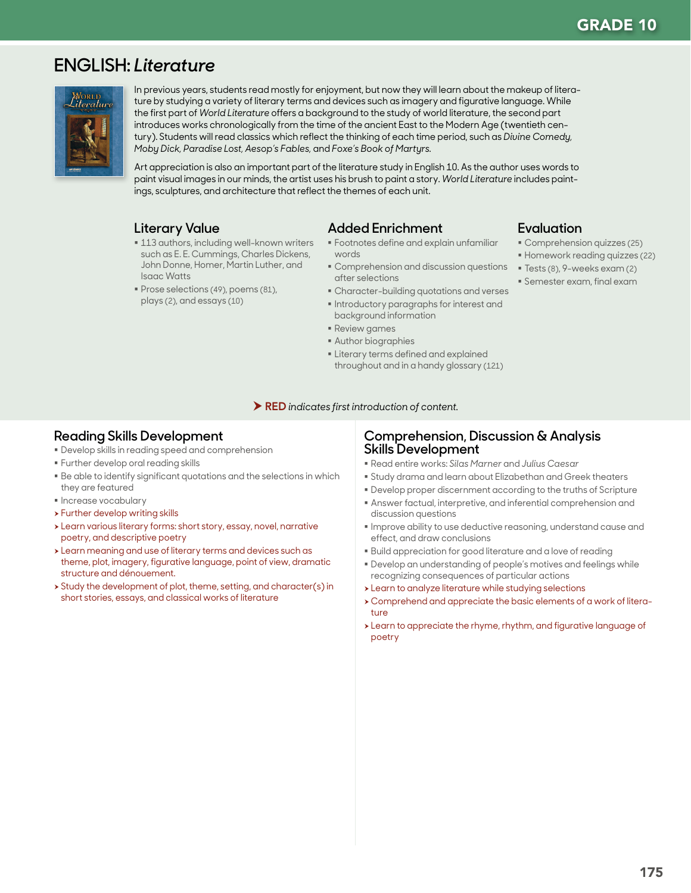# **ENGLISH:** *Literature*



In previous years, students read mostly for enjoyment, but now they will learn about the makeup of literature by studying a variety of literary terms and devices such as imagery and figurative language. While the first part of *World Literature* offers a background to the study of world literature, the second part introduces works chronologically from the time of the ancient East to the Modern Age (twentieth century). Students will read classics which reflect the thinking of each time period, such as *Divine Comedy, Moby Dick, Paradise Lost, Aesop's Fables,* and *Foxe's Book of Martyrs.*

Art appreciation is also an important part of the literature study in English 10. As the author uses words to paint visual images in our minds, the artist uses his brush to paint a story. *World Literature* includes paintings, sculptures, and architecture that reflect the themes of each unit.

## **Literary Value**

- **113 authors, including well-known writers** such as E. E. Cummings, Charles Dickens, John Donne, Homer, Martin Luther, and Isaac Watts
- Prose selections (49), poems (81), plays (2), and essays (10)

## **Added Enrichment**

- Footnotes define and explain unfamiliar words
- Comprehension and discussion questions after selections
- Character-building quotations and verses Introductory paragraphs for interest and
- background information
- Review games
- Author biographies
- **Exercise Literary terms defined and explained** throughout and in a handy glossary (121)

### **Evaluation**

- Comprehension quizzes (25)
- Homework reading quizzes (22)
- Tests (8), 9-weeks exam (2)
- Semester exam, final exam

RED *indicates first introduction of content.*

## **Reading Skills Development**

- Develop skills in reading speed and comprehension
- **Further develop oral reading skills**
- Be able to identify significant quotations and the selections in which they are featured
- **Increase vocabulary**
- $\triangleright$  Further develop writing skills
- \* Learn various literary forms: short story, essay, novel, narrative poetry, and descriptive poetry
- $\rightarrow$  Learn meaning and use of literary terms and devices such as theme, plot, imagery, figurative language, point of view, dramatic structure and dénouement.
- $\rightarrow$  Study the development of plot, theme, setting, and character(s) in short stories, essays, and classical works of literature

### **Comprehension, Discussion & Analysis Skills Development**

- Read entire works: *Silas Marner* and *Julius Caesar*
- Study drama and learn about Elizabethan and Greek theaters
- Develop proper discernment according to the truths of Scripture
- Answer factual, interpretive, and inferential comprehension and discussion questions
- Improve ability to use deductive reasoning, understand cause and effect, and draw conclusions
- Build appreciation for good literature and a love of reading
- Develop an understanding of people's motives and feelings while recognizing consequences of particular actions
- > Learn to analyze literature while studying selections
- h Comprehend and appreciate the basic elements of a work of literature
- > Learn to appreciate the rhyme, rhythm, and figurative language of poetry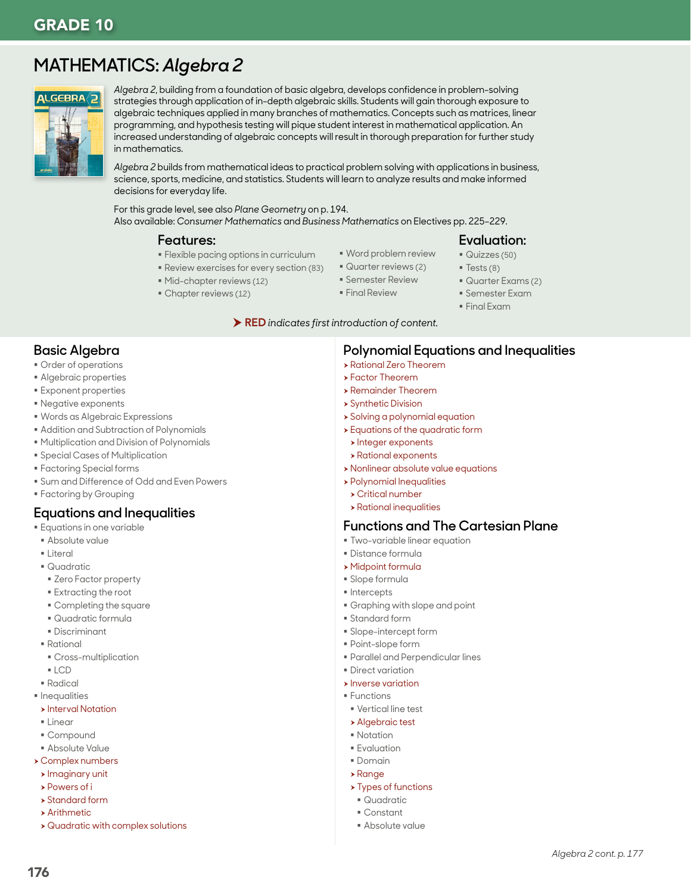# **MATHEMATICS:** *Algebra 2*



*Algebra 2*, building from a foundation of basic algebra, develops confidence in problem-solving strategies through application of in-depth algebraic skills. Students will gain thorough exposure to algebraic techniques applied in many branches of mathematics. Concepts such as matrices, linear programming, and hypothesis testing will pique student interest in mathematical application. An increased understanding of algebraic concepts will result in thorough preparation for further study in mathematics.

*Algebra 2* builds from mathematical ideas to practical problem solving with applications in business, science, sports, medicine, and statistics. Students will learn to analyze results and make informed decisions for everyday life.

For this grade level, see also *Plane Geometry* on p. 194. Also available: *Consumer Mathematics* and *Business Mathematics* on Electives pp. 225–229.

#### **Features:**

- Flexible pacing options in curriculum
- Review exercises for every section (83)
- Mid-chapter reviews (12)
- Chapter reviews (12)
- Word problem review
- Quarter reviews (2)
- Semester Review
	- **Final Review**
- 
- 
- 
- 

#### RED *indicates first introduction of content.*

## **Basic Algebra**

- Order of operations
- Algebraic properties
- Exponent properties
- Negative exponents
- Words as Algebraic Expressions
- Addition and Subtraction of Polynomials
- Multiplication and Division of Polynomials
- Special Cases of Multiplication
- Factoring Special forms
- Sum and Difference of Odd and Even Powers
- Factoring by Grouping

## **Equations and Inequalities**

- **E** Equations in one variable
- Absolute value
- Literal
- Quadratic
- **EXERG** Factor property
- Extracting the root
- Completing the square
- Quadratic formula
- Discriminant
- Rational
- Cross-multiplication
- LCD
- Radical
- **Inequalities**
- **>** Interval Notation
- $\blacksquare$  Linear
- Compound
- Absolute Value
- **Complex numbers**
- $\blacktriangleright$  Imaginary unit **>** Powers of i
- $\rightarrow$  Standard form
- $\rightarrow$  Arithmetic
- $\rightarrow$  Quadratic with complex solutions
- $\rightarrow$  Remainder Theorem
- **> Synthetic Division**

**> Rational Zero Theorem**  $\rightarrow$  Factor Theorem

- $\rightarrow$  Solving a polynomial equation
- $\rightarrow$  Equations of the quadratic form
- $\blacktriangleright$  Integer exponents
- $\rightarrow$  Rational exponents
- **> Nonlinear absolute value equations**
- $\rightarrow$  Polynomial Inequalities
- $\rightarrow$  Critical number
- $\rightarrow$  Rational inequalities

## **Functions and The Cartesian Plane**

- Two-variable linear equation
- Distance formula
- $\rightarrow$  Midpoint formula
- Slope formula
- **Intercepts**
- Graphing with slope and point
- Standard form
- Slope-intercept form
- Point-slope form
- Parallel and Perpendicular lines
- **Direct variation**
- $\triangleright$  Inverse variation
- Functions
- Vertical line test
- **Algebraic test**
- **Notation**
- **Evaluation**
- Domain
- $\rightarrow$  Range
	- $\rightarrow$  Types of functions
	- Quadratic
	- Constant
	- Absolute value
- **Evaluation:** Quizzes (50)
	- $\blacksquare$  Tests (8)

**Polynomial Equations and Inequalities**

- Quarter Exams (2)
	- Semester Exam
	- Final Exam
-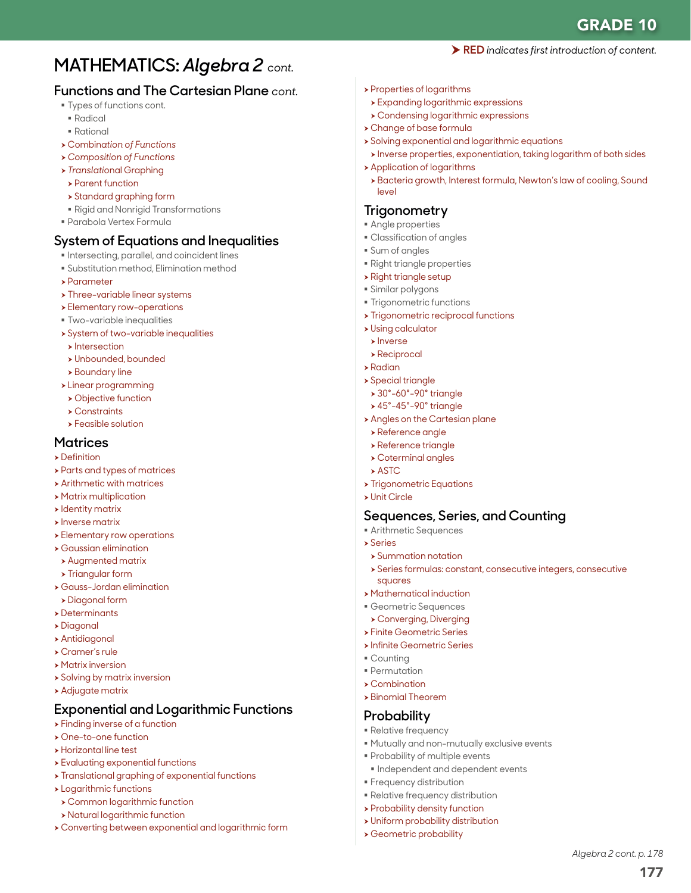177

*Algebra 2 cont. p. 178*

# **MATHEMATICS:** *Algebra 2 cont.*

## **Functions and The Cartesian Plane** *cont.*

- **Types of functions cont.**
- Radical
- Rational
- <sup>h</sup> Combin*ation of Functions*
- h *Composition of Functions*
- <sup>h</sup> *Translatio*nal Graphing
- **> Parent function**
- $\rightarrow$  Standard graphing form
- Rigid and Nonrigid Transformations
- Parabola Vertex Formula

## **System of Equations and Inequalities**

- **Intersecting, parallel, and coincident lines**
- Substitution method, Elimination method
- $\rightarrow$  Parameter
- $\rightarrow$  Three-variable linear systems
- **>** Elementary row-operations
- Two-variable inequalities
- $\rightarrow$  System of two-variable inequalities
- $\blacktriangleright$  Intersection
- h Unbounded, bounded
- $\rightarrow$  Boundary line
- $\rightarrow$  Linear programming
- **> Objective function**
- $\rightarrow$  Constraints
- $\rightarrow$  Feasible solution

### **Matrices**

- $\rightarrow$  Definition
- **>** Parts and types of matrices
- $\rightarrow$  Arithmetic with matrices
- **> Matrix multiplication**
- $\rightarrow$  Identity matrix
- $\blacktriangleright$  Inverse matrix
- **>** Elementary row operations
- $\rightarrow$  Gaussian elimination
- $\rightarrow$  Augmented matrix
- $\rightarrow$  Triangular form
- h Gauss-Jordan elimination
- $\rightarrow$  Diagonal form
- $\rightarrow$  Determinants
- h Diagonal
- $\rightarrow$  Antidiagonal
- $\triangleright$  Cramer's rule
- $\rightarrow$  Matrix inversion
- $\rightarrow$  Solving by matrix inversion
- $\rightarrow$  Adjugate matrix

## **Exponential and Logarithmic Functions**

- $\rightarrow$  Finding inverse of a function
- h One-to-one function
- **>** Horizontal line test
- $\rightarrow$  Evaluating exponential functions
- $\rightarrow$  Translational graphing of exponential functions
- $\rightarrow$  Logarithmic functions
- $\rightarrow$  Common logarithmic function
- **> Natural logarithmic function**
- h Converting between exponential and logarithmic form
- **>** Properties of logarithms
- **> Expanding logarithmic expressions**
- $\triangleright$  Condensing logarithmic expressions
- **>** Change of base formula
- $\rightarrow$  Solving exponential and logarithmic equations
- h Inverse properties, exponentiation, taking logarithm of both sides

RED *indicates first introduction of content.*

- $\rightarrow$  Application of logarithms
- > Bacteria growth, Interest formula, Newton's law of cooling, Sound level

## **Trigonometry**

- Angle properties
- Classification of angles
- Sum of angles
- Right triangle properties
- $\triangleright$  Right triangle setup
- Similar polygons
- **Trigonometric functions**
- $\rightarrow$  Trigonometric reciprocal functions
- **> Using calculator**
- $\blacktriangleright$  Inverse
- $\blacktriangleright$  Reciprocal
- $\blacktriangleright$  Radian
- $\rightarrow$  Special triangle
- $\rightarrow$  30°-60°-90° triangle
- $\blacktriangleright$  45°-45°-90° triangle
- **Angles on the Cartesian plane**
- $\rightarrow$  Reference angle
- **>** Reference triangle
- $\rightarrow$  Coterminal angles
- $\rightarrow$  ASTC
- **> Trigonometric Equations**
- $\triangleright$  Unit Circle

## **Sequences, Series, and Counting**

Mutually and non-mutually exclusive events

 $\blacksquare$  Independent and dependent events

- **Arithmetic Sequences**
- h Series
	- $\rightarrow$  Summation notation
	- h Series formulas: constant, consecutive integers, consecutive squares
- $\rightarrow$  Mathematical induction
- Geometric Sequences
- **> Converging, Diverging**
- **> Finite Geometric Series**
- **> Infinite Geometric Series**

**Probability of multiple events** 

**Frequency distribution**  Relative frequency distribution > Probability density function  $\rightarrow$  Uniform probability distribution **> Geometric probability** 

 Counting Permutation

 $\rightarrow$  Combination  $\rightarrow$  Binomial Theorem **Probability Relative frequency**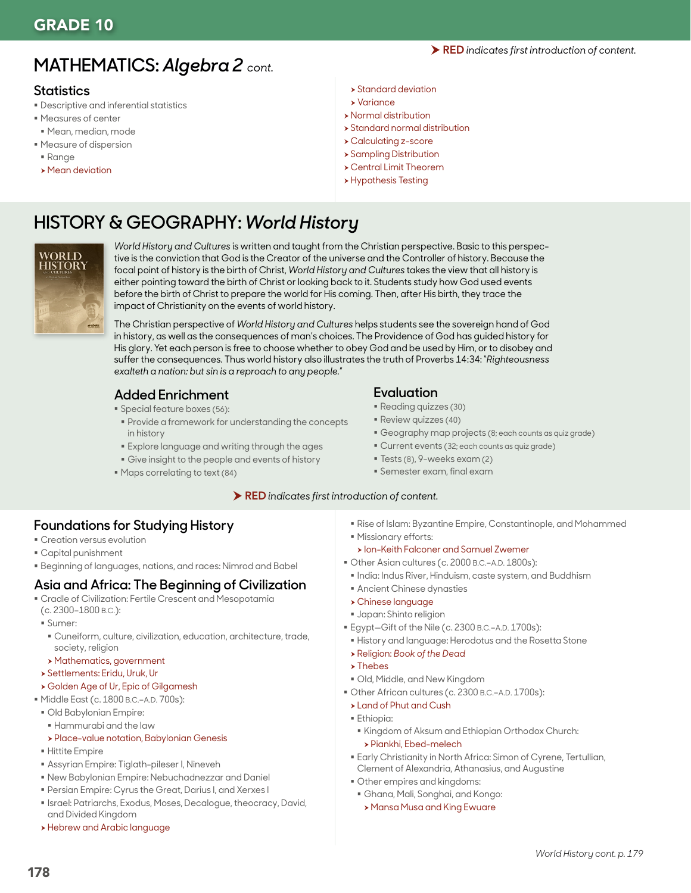# **MATHEMATICS:** *Algebra 2 cont.*

## **Statistics**

- Descriptive and inferential statistics
- Measures of center
- Mean, median, mode
- Measure of dispersion
- Range
- $\rightarrow$  Mean deviation
- $\rightarrow$  Standard deviation
- $\blacktriangleright$  Variance
- $\rightarrow$  Normal distribution
- $\rightarrow$  Standard normal distribution
- h Calculating z-score
- $\rightarrow$  Sampling Distribution
- **> Central Limit Theorem**
- **> Hypothesis Testing**

# **HISTORY & GEOGRAPHY:** *World History*



*World History and Cultures* is written and taught from the Christian perspective. Basic to this perspective is the conviction that God is the Creator of the universe and the Controller of history. Because the focal point of history is the birth of Christ, *World History and Cultures* takes the view that all history is either pointing toward the birth of Christ or looking back to it. Students study how God used events before the birth of Christ to prepare the world for His coming. Then, after His birth, they trace the impact of Christianity on the events of world history.

The Christian perspective of *World History and Cultures* helps students see the sovereign hand of God in history, as well as the consequences of man's choices. The Providence of God has guided history for His glory. Yet each person is free to choose whether to obey God and be used by Him, or to disobey and suffer the consequences. Thus world history also illustrates the truth of Proverbs 14:34: "*Righteousness exalteth a nation: but sin is a reproach to any people.*"

## **Added Enrichment**

- Special feature boxes (56):
- **Provide a framework for understanding the concepts** in history
- Explore language and writing through the ages
- Give insight to the people and events of history
- $\blacksquare$  Maps correlating to text (84)

## **Evaluation**

- Reading quizzes (30)
- **Review quizzes (40)**
- Geography map projects (8; each counts as quiz grade)
- Current events (32; each counts as quiz grade)
- Tests (8), 9-weeks exam (2)
- Semester exam, final exam

### RED *indicates first introduction of content.*

## **Foundations for Studying History**

- Creation versus evolution
- Capital punishment
- Beginning of languages, nations, and races: Nimrod and Babel

## **Asia and Africa: The Beginning of Civilization**

- Cradle of Civilization: Fertile Crescent and Mesopotamia
- (c. 2300–1800 B.C.):
- Sumer:
- Cuneiform, culture, civilization, education, architecture, trade, society, religion
- **>Mathematics, government**
- h Settlements: Eridu, Uruk, Ur

## h Golden Age of Ur, Epic of Gilgamesh

- Middle East (c. 1800 B.C.–A.D. 700s):
- Old Babylonian Empire:
- Hammurabi and the law
- h Place-value notation, Babylonian Genesis
- Hittite Empire
- Assyrian Empire: Tiglath-pileser I, Nineveh
- New Babylonian Empire: Nebuchadnezzar and Daniel
- Persian Empire: Cyrus the Great, Darius I, and Xerxes I
- **Israel: Patriarchs, Exodus, Moses, Decalogue, theocracy, David,** and Divided Kingdom
- **> Hebrew and Arabic language**
- Rise of Islam: Byzantine Empire, Constantinople, and Mohammed
- Missionary efforts: **> Ion-Keith Falconer and Samuel Zwemer**
- Other Asian cultures (c. 2000 B.C.–A.D. 1800s):
- India: Indus River, Hinduism, caste system, and Buddhism
- Ancient Chinese dynasties
- h Chinese language
- Japan: Shinto religion
- Egypt—Gift of the Nile (c. 2300 B.C.–A.D. 1700s):
- History and language: Herodotus and the Rosetta Stone
- <sup>h</sup> Religion: *Book of the Dead*
- $\rightarrow$  Thebes
- Old, Middle, and New Kingdom
- Other African cultures (c. 2300 B.C.–A.D. 1700s):
- **> Land of Phut and Cush**
- **Ethiopia:** 
	- Kingdom of Aksum and Ethiopian Orthodox Church: h Piankhi, Ebed-melech
- Early Christianity in North Africa: Simon of Cyrene, Tertullian, Clement of Alexandria, Athanasius, and Augustine
- Other empires and kingdoms:
- Ghana, Mali, Songhai, and Kongo: **> Mansa Musa and King Ewuare**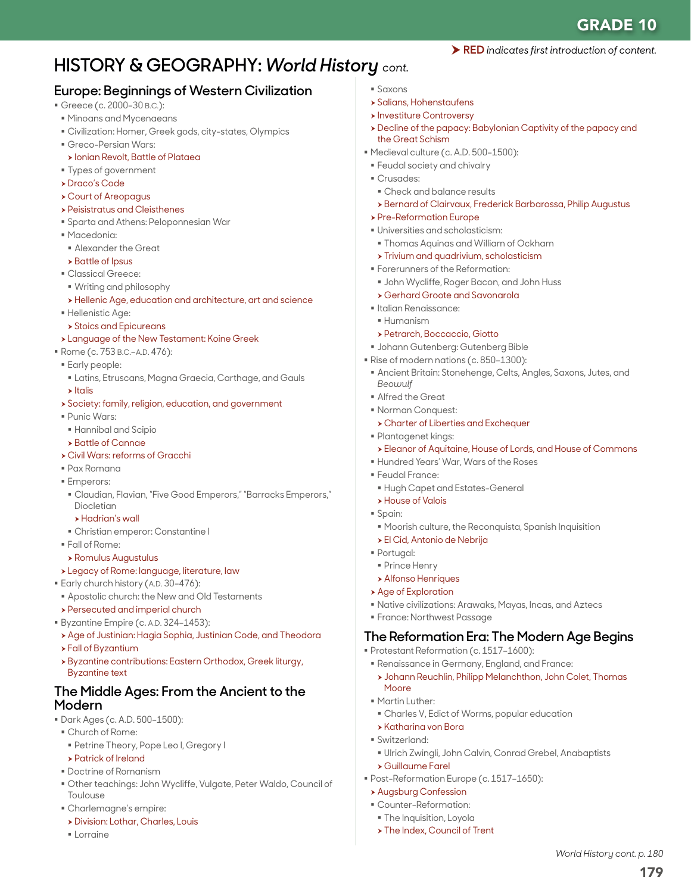# **HISTORY & GEOGRAPHY:** *World History cont.*

## **Europe: Beginnings of Western Civilization**

- Greece (c. 2000-30 B.C.):
- Minoans and Mycenaeans
- Civilization: Homer, Greek gods, city-states, Olympics
- Greco-Persian Wars:
- **> Ionian Revolt, Battle of Plataea**
- Types of government
- h Draco's Code
- h Court of Areopagus
- **> Peisistratus and Cleisthenes**
- Sparta and Athens: Peloponnesian War
- Macedonia:
- Alexander the Great
- $\rightarrow$  Battle of Ipsus
- Classical Greece:
- Writing and philosophy
- h Hellenic Age, education and architecture, art and science
- **Hellenistic Age:**
- $\rightarrow$  Stoics and Epicureans
- h Language of the New Testament: Koine Greek
- Rome (c. 753 B.C.–A.D. 476):
- Early people:
- Latins, Etruscans, Magna Graecia, Carthage, and Gauls
- $\blacktriangleright$  Italis
- **>** Society: family, religion, education, and government
- Punic Wars:
- Hannibal and Scipio
- **> Battle of Cannae**
- h Civil Wars: reforms of Gracchi
- Pax Romana
- **Emperors:**
- Claudian, Flavian, "Five Good Emperors," "Barracks Emperors," Diocletian
- h Hadrian's wall
- Christian emperor: Constantine I
- Fall of Rome:
- $\rightarrow$  Romulus Augustulus
- \* Legacy of Rome: language, literature, law
- **Early church history (A.D. 30-476):**
- **Apostolic church: the New and Old Testaments**
- **> Persecuted and imperial church**
- Byzantine Empire (c. A.D. 324-1453):
- Age of Justinian: Hagia Sophia, Justinian Code, and Theodora
- h Fall of Byzantium
- h Byzantine contributions: Eastern Orthodox, Greek liturgy, Byzantine text

## **The Middle Ages: From the Ancient to the Modern**

- Dark Ages (c. A.D. 500–1500):
- Church of Rome:
- Petrine Theory, Pope Leo I, Gregory I
- **> Patrick of Ireland**
- Doctrine of Romanism
- Other teachings: John Wycliffe, Vulgate, Peter Waldo, Council of Toulouse
- Charlemagne's empire:
- **> Division: Lothar, Charles, Louis**
- Lorraine
- Saxons
- $\rightarrow$  Salians, Hohenstaufens
- **> Investiture Controversy**
- h Decline of the papacy: Babylonian Captivity of the papacy and the Great Schism

RED *indicates first introduction of content.*

- Medieval culture (c. A.D. 500-1500):
- Feudal society and chivalry
- Crusades:
- Check and balance results
- h Bernard of Clairvaux, Frederick Barbarossa, Philip Augustus
- **> Pre-Reformation Europe**
- Universities and scholasticism:
- Thomas Aquinas and William of Ockham
- $\triangleright$  Trivium and quadrivium, scholasticism
- **Forerunners of the Reformation:**
- John Wycliffe, Roger Bacon, and John Huss
- **> Gerhard Groote and Savonarola**
- Italian Renaissance:
- Humanism
- **> Petrarch, Boccaccio, Giotto**
- Johann Gutenberg: Gutenberg Bible
- Rise of modern nations (c. 850-1300):
- Ancient Britain: Stonehenge, Celts, Angles, Saxons, Jutes, and *Beowulf*
- Alfred the Great
- Norman Conquest:
- **> Charter of Liberties and Exchequer**
- Plantagenet kings:
- h Eleanor of Aquitaine, House of Lords, and House of Commons
- Hundred Years' War, Wars of the Roses
- Feudal France:
- Hugh Capet and Estates-General
- **House of Valois**
- Spain:
- Moorish culture, the Reconquista, Spanish Inquisition
- $\rightarrow$  El Cid, Antonio de Nebrija
- Portugal:
- **Prince Henry**

**Martin Luther:** 

Switzerland:

h Katharina von Bora

h Guillaume Farel

**Augsburg Confession**  Counter-Reformation: **The Inquisition, Loyola** > The Index, Council of Trent

- **Alfonso Henriques**
- $\rightarrow$  Age of Exploration
- Native civilizations: Arawaks, Mayas, Incas, and Aztecs
- France: Northwest Passage

## **The Reformation Era: The Modern Age Begins**

Protestant Reformation (c. 1517–1600):

Post-Reformation Europe (c. 1517–1650):

Renaissance in Germany, England, and France:

Charles V, Edict of Worms, popular education

h Johann Reuchlin, Philipp Melanchthon, John Colet, Thomas Moore

Ulrich Zwingli, John Calvin, Conrad Grebel, Anabaptists

179

*World History cont. p. 180*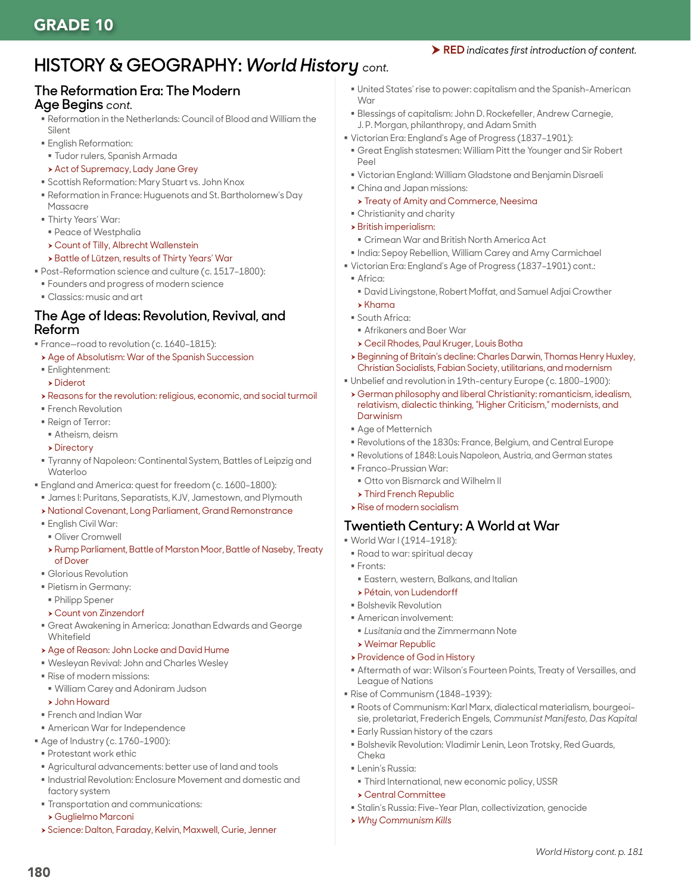#### RED *indicates first introduction of content.*

# **HISTORY & GEOGRAPHY:** *World History cont.*

### **The Reformation Era: The Modern Age Begins** *cont.*

- Reformation in the Netherlands: Council of Blood and William the Silent
- English Reformation:
- Tudor rulers, Spanish Armada
- **Act of Supremacy, Lady Jane Grey**
- Scottish Reformation: Mary Stuart vs. John Knox
- Reformation in France: Huguenots and St. Bartholomew's Day
- Massacre
- Thirty Years' War:
- Peace of Westphalia
- **> Count of Tilly, Albrecht Wallenstein**
- h Battle of Lützen, results of Thirty Years' War
- Post-Reformation science and culture (c. 1517–1800):
- Founders and progress of modern science
- **Classics: music and art**

### **The Age of Ideas: Revolution, Revival, and Reform**

- France—road to revolution (c. 1640–1815):
- Age of Absolutism: War of the Spanish Succession
- Enlightenment:
- $\triangleright$  Diderot
- h Reasons for the revolution: religious, economic, and social turmoil
- **French Revolution**
- Reign of Terror:
- Atheism, deism
- $\triangleright$  Directory
- Tyranny of Napoleon: Continental System, Battles of Leipzig and Waterloo
- England and America: quest for freedom (c. 1600–1800):
- James I: Puritans, Separatists, KJV, Jamestown, and Plymouth
- h National Covenant, Long Parliament, Grand Remonstrance
- English Civil War:
- **Oliver Cromwell**
- h Rump Parliament, Battle of Marston Moor, Battle of Naseby, Treaty of Dover
- Glorious Revolution
- Pietism in Germany:
- Philipp Spener
- **> Count von Zinzendorf**
- Great Awakening in America: Jonathan Edwards and George **Whitefield**
- **> Age of Reason: John Locke and David Hume**
- Wesleyan Revival: John and Charles Wesley
- Rise of modern missions:
- William Carey and Adoniram Judson
- h John Howard
- French and Indian War
- American War for Independence
- Age of Industry (c. 1760–1900):
- Protestant work ethic
- Agricultural advancements: better use of land and tools
- $\blacksquare$  Industrial Revolution: Enclosure Movement and domestic and factory system
- Transportation and communications:
- h Guglielmo Marconi

180

h Science: Dalton, Faraday, Kelvin, Maxwell, Curie, Jenner

- United States' rise to power: capitalism and the Spanish-American War
- Blessings of capitalism: John D. Rockefeller, Andrew Carnegie, J. P. Morgan, philanthropy, and Adam Smith
- Victorian Era: England's Age of Progress (1837–1901):
- Great English statesmen: William Pitt the Younger and Sir Robert Peel
- Victorian England: William Gladstone and Benjamin Disraeli
- China and Japan missions:
- **> Treaty of Amity and Commerce, Neesima**
- Christianity and charity
- $\rightarrow$  British imperialism:
	- Crimean War and British North America Act
- $\blacksquare$  India: Sepoy Rebellion, William Carey and Amy Carmichael
- Victorian Era: England's Age of Progress (1837–1901) cont.:
- Africa:
	- David Livingstone, Robert Moffat, and Samuel Adjai Crowther
- $\blacktriangleright$  Khama
- South Africa:
	- Afrikaners and Boer War
	- h Cecil Rhodes, Paul Kruger, Louis Botha
- h Beginning of Britain's decline: Charles Darwin, Thomas Henry Huxley, Christian Socialists, Fabian Society, utilitarians, and modernism
- Unbelief and revolution in 19th-century Europe (c. 1800–1900):
- h German philosophy and liberal Christianity: romanticism, idealism, relativism, dialectic thinking, "Higher Criticism," modernists, and Darwinism
- Age of Metternich
- Revolutions of the 1830s: France, Belgium, and Central Europe
- Revolutions of 1848: Louis Napoleon, Austria, and German states
- Franco-Prussian War:
- Otto von Bismarck and Wilhelm II
- $\triangleright$  Third French Republic
- $\rightarrow$  Rise of modern socialism

## **Twentieth Century: A World at War**

- World War I (1914–1918):
- Road to war: spiritual decay
- Fronts:
- Eastern, western, Balkans, and Italian
- h Pétain, von Ludendorff
- **Bolshevik Revolution**
- American involvement:
- *Lusitania* and the Zimmermann Note
- $\rightarrow$  Weimar Republic
- **> Providence of God in History**
- Aftermath of war: Wilson's Fourteen Points, Treaty of Versailles, and League of Nations
- Rise of Communism (1848–1939):
- Roots of Communism: Karl Marx, dialectical materialism, bourgeoisie, proletariat, Frederich Engels, *Communist Manifesto, Das Kapital*

*World History cont. p. 181*

- Early Russian history of the czars
- Bolshevik Revolution: Vladimir Lenin, Leon Trotsky, Red Guards, Cheka
- **ELENIN's Russia:**

h Central Committee

h *Why Communism Kills*

Third International, new economic policy, USSR

Stalin's Russia: Five-Year Plan, collectivization, genocide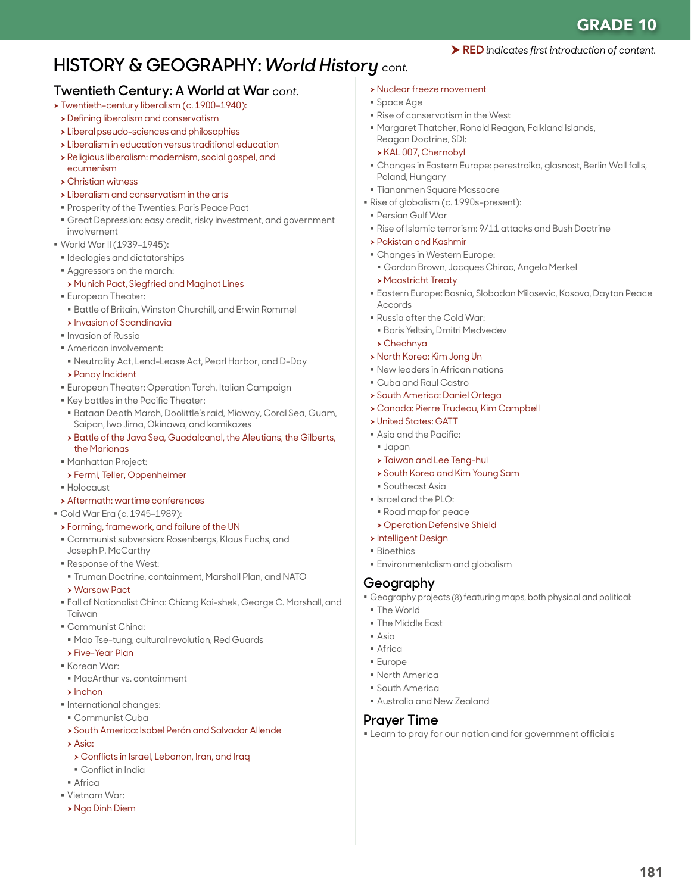181

#### RED *indicates first introduction of content.*

# **HISTORY & GEOGRAPHY:** *World History cont.*

### **Twentieth Century: A World at War** *cont.*

- > Twentieth-century liberalism (c. 1900-1940):
- **>** Defining liberalism and conservatism
- $\rightarrow$  Liberal pseudo-sciences and philosophies
- $\rightarrow$  Liberalism in education versus traditional education
- h Religious liberalism: modernism, social gospel, and
- ecumenism
- $\rightarrow$  Christian witness
- $\triangleright$  Liberalism and conservatism in the arts
- **Prosperity of the Twenties: Paris Peace Pact**
- Great Depression: easy credit, risky investment, and government involvement
- World War II (1939–1945):
- **Indeplogies and dictatorships**
- Aggressors on the march:
- > Munich Pact, Siegfried and Maginot Lines
- European Theater:
- Battle of Britain, Winston Churchill, and Erwin Rommel
- **>** Invasion of Scandinavia
- **Invasion of Russia**
- American involvement:
- Neutrality Act, Lend-Lease Act, Pearl Harbor, and D-Day
- **> Panay Incident**
- European Theater: Operation Torch, Italian Campaign
- Key battles in the Pacific Theater:
- Bataan Death March, Doolittle's raid, Midway, Coral Sea, Guam, Saipan, Iwo Jima, Okinawa, and kamikazes
- h Battle of the Java Sea, Guadalcanal, the Aleutians, the Gilberts, the Marianas
- Manhattan Project:
- h Fermi, Teller, Oppenheimer
- Holocaust
- $\rightarrow$  Aftermath: wartime conferences
- Cold War Era (c. 1945–1989):
- h Forming, framework, and failure of the UN
- Communist subversion: Rosenbergs, Klaus Fuchs, and Joseph P. McCarthy
- Response of the West:
- Truman Doctrine, containment, Marshall Plan, and NATO
- **> Warsaw Pact**
- Fall of Nationalist China: Chiang Kai-shek, George C. Marshall, and Taiwan
- Communist China:
- Mao Tse-tung, cultural revolution, Red Guards **> Five-Year Plan**
- Korean War
- 
- MacArthur vs. containment
- $\blacktriangleright$  Inchon
- $\blacksquare$  International changes:
- Communist Cuba
- **> South America: Isabel Perón and Salvador Allende**
- $\Delta$ cia:
- h Conflicts in Israel, Lebanon, Iran, and Iraq
- Conflict in India
- Africa
- Vietnam War:
- h Ngo Dinh Diem
- **> Nuclear freeze movement**
- Space Age
- Rise of conservatism in the West
- Margaret Thatcher, Ronald Reagan, Falkland Islands, Reagan Doctrine, SDI:
- h KAL 007, Chernobyl
- Changes in Eastern Europe: perestroika, glasnost, Berlin Wall falls, Poland, Hungary
- Tiananmen Square Massacre
- Rise of globalism (c. 1990s-present):
- Persian Gulf War
- Rise of Islamic terrorism: 9/11 attacks and Bush Doctrine
- h Pakistan and Kashmir
- Changes in Western Europe:
- Gordon Brown, Jacques Chirac, Angela Merkel
- **Maastricht Treaty**
- Eastern Europe: Bosnia, Slobodan Milosevic, Kosovo, Dayton Peace Accords
- Russia after the Cold War:
- Boris Yeltsin, Dmitri Medvedev
- $\rightarrow$  Chechnya
- h North Korea: Kim Jong Un
- New leaders in African nations
- Cuba and Raul Castro
- **> South America: Daniel Ortega**
- h Canada: Pierre Trudeau, Kim Campbell
- **> United States: GATT**
- Asia and the Pacific:
- Japan
- **> Taiwan and Lee Teng-hui**
- **>** South Korea and Kim Young Sam
- **Southeast Asia**
- Israel and the PLO:
- Road map for peace
- **> Operation Defensive Shield**
- **h** Intelligent Design
- **Bioethics**
- Environmentalism and globalism

## **Geography**

Geography projects (8) featuring maps, both physical and political:

Learn to pray for our nation and for government officials

- The World
- **The Middle Fast**
- $A$ sia
- Africa
- Europe
- North America
- South America

**Prayer Time**

Australia and New Zealand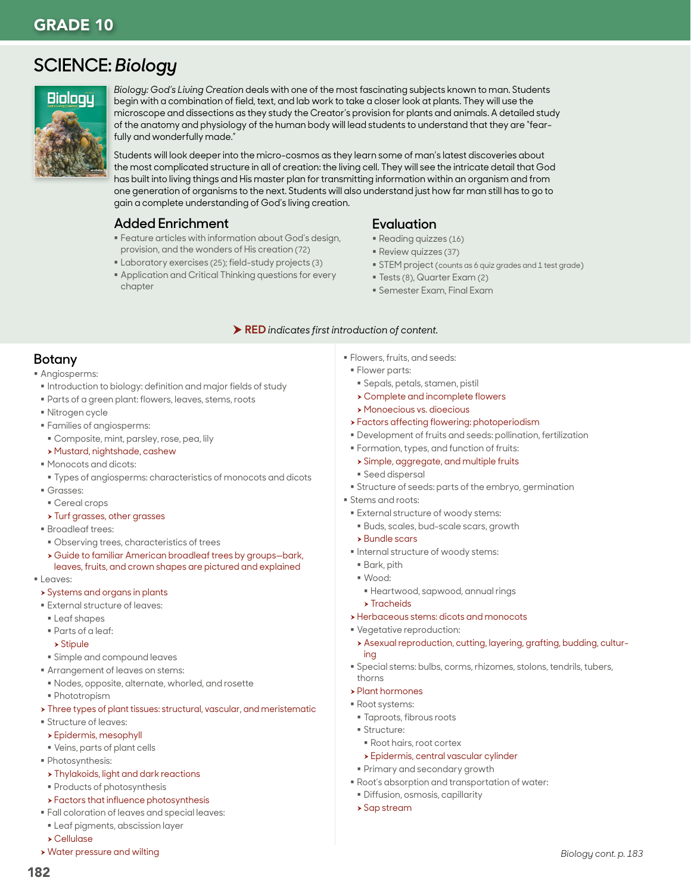# **SCIENCE:** *Biology*



*Biology: God's Living Creation* deals with one of the most fascinating subjects known to man. Students begin with a combination of field, text, and lab work to take a closer look at plants. They will use the microscope and dissections as they study the Creator's provision for plants and animals. A detailed study of the anatomy and physiology of the human body will lead students to understand that they are "fearfully and wonderfully made."

Students will look deeper into the micro-cosmos as they learn some of man's latest discoveries about the most complicated structure in all of creation: the living cell. They will see the intricate detail that God has built into living things and His master plan for transmitting information within an organism and from one generation of organisms to the next. Students will also understand just how far man still has to go to gain a complete understanding of God's living creation.

### **Added Enrichment**

- Feature articles with information about God's design, provision, and the wonders of His creation (72)
- Laboratory exercises (25); field-study projects (3)
- Application and Critical Thinking questions for every chapter

## **Evaluation**

- Reading quizzes (16)
- Review quizzes (37)
- **STEM project (counts as 6 quiz grades and 1 test grade)**
- Tests (8), Quarter Exam (2)
- Semester Exam, Final Exam

#### RED *indicates first introduction of content.*

## **Botany**

- Angiosperms:
- **Introduction to biology: definition and major fields of study**
- Parts of a green plant: flowers, leaves, stems, roots
- Nitrogen cycle
- Families of angiosperms:
- Composite, mint, parsley, rose, pea, lily
- > Mustard, nightshade, cashew
- Monocots and dicots:
- Types of angiosperms: characteristics of monocots and dicots
- Grasses:
- Cereal crops
- **> Turf grasses, other grasses**
- Broadleaf trees:
- Observing trees, characteristics of trees
- h Guide to familiar American broadleaf trees by groups—bark, leaves, fruits, and crown shapes are pictured and explained
- **Leaves:**
- **>** Systems and organs in plants
- External structure of leaves:
- **Leaf shapes**
- Parts of a leaf:
- $\rightarrow$  Stipule
- Simple and compound leaves
- Arrangement of leaves on stems:
- Nodes, opposite, alternate, whorled, and rosette
- Phototropism
- > Three types of plant tissues: structural, vascular, and meristematic
- Structure of leaves:
- $\rightarrow$  Epidermis, mesophyll
- Veins, parts of plant cells
- Photosynthesis:
	- **> Thylakoids, light and dark reactions**
- **Products of photosynthesis**
- > Factors that influence photosynthesis
- Fall coloration of leaves and special leaves:
- Leaf pigments, abscission layer
- h Cellulase
- **> Water pressure and wilting**
- Flowers, fruits, and seeds:
- **Flower parts:**
- Sepals, petals, stamen, pistil
- $\rightarrow$  Complete and incomplete flowers
- h Monoecious vs. dioecious
- **>** Factors affecting flowering: photoperiodism
- Development of fruits and seeds: pollination, fertilization
- Formation, types, and function of fruits:
- **> Simple, aggregate, and multiple fruits**
- Seed dispersal
- Structure of seeds: parts of the embryo, germination
- Stems and roots:
- External structure of woody stems:
- Buds, scales, bud-scale scars, growth
- $\rightarrow$  Bundle scars
- $\blacksquare$  Internal structure of woody stems:
- Bark, pith
- Wood:
- Heartwood, sapwood, annual rings
- $\blacktriangleright$  Tracheids
- **>** Herbaceous stems: dicots and monocots
- Vegetative reproduction:
- h Asexual reproduction, cutting, layering, grafting, budding, culturing
- Special stems: bulbs, corms, rhizomes, stolons, tendrils, tubers, thorns
- $\rightarrow$  Plant hormones
- Root systems:
- Taproots, fibrous roots
- **Structure:** 
	- Root hairs, root cortex
- **>** Epidermis, central vascular cylinder
- Primary and secondary growth
- Root's absorption and transportation of water:
- Diffusion, osmosis, capillarity
- $\rightarrow$  Sap stream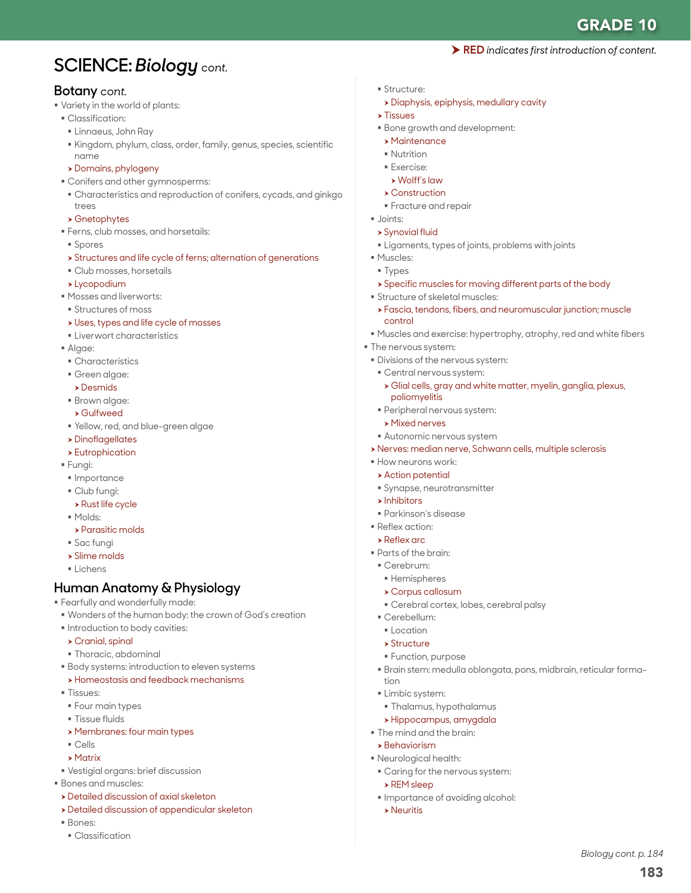RED *indicates first introduction of content.*

183

*Biology cont. p. 184*

# **SCIENCE:** *Biology cont.*

### **Botany** *cont.*

- Variety in the world of plants:
- Classification:
	- Linnaeus, John Ray
- Kingdom, phylum, class, order, family, genus, species, scientific name
- h Domains, phylogeny
- Conifers and other gymnosperms:
- Characteristics and reproduction of conifers, cycads, and ginkgo trees
- $\rightarrow$  Gnetophytes
- Ferns, club mosses, and horsetails:
- Spores
- h Structures and life cycle of ferns; alternation of generations
- Club mosses, horsetails
- $\blacktriangleright$  Lycopodium
- Mosses and liverworts:
- **Structures of moss**
- $\rightarrow$  Uses, types and life cycle of mosses
- Liverwort characteristics
- Algae:
- Characteristics
- Green algae:
- $\rightarrow$  Desmids
- Brown algae:
- h Gulfweed
- Yellow, red, and blue-green algae
- $\rightarrow$  Dinoflagellates
- $\rightarrow$  Eutrophication
- Fungi:
- · Importance
- Club fungi:
- $\rightarrow$  Rust life cycle
- Molds:
- $\rightarrow$  Parasitic molds
- Sac fungi
- $\rightarrow$  Slime molds
- Lichens

## **Human Anatomy & Physiology**

Fearfully and wonderfully made:

- Wonders of the human body: the crown of God's creation
- $\blacksquare$  Introduction to body cavities:
- $\triangleright$  Cranial, spinal
- Thoracic, abdominal
- Body systems: introduction to eleven systems
- **>Homeostasis and feedback mechanisms**
- Tissues:
- **Four main types**
- **Tissue fluids**
- **> Membranes: four main types**
- Cells
- $\blacktriangleright$  Matrix
- Vestigial organs: brief discussion
- Bones and muscles:
- **>** Detailed discussion of axial skeleton
- **>** Detailed discussion of appendicular skeleton
- Bones:
- Classification
- Structure:
	- > Diaphysis, epiphysis, medullary cavity
- $\triangleright$  Tissues
- Bone growth and development:
- $\rightarrow$  Maintenance
- Nutrition
- Exercise:
- $\triangleright$  Wolff's law
- $\rightarrow$  Construction
- **Fracture and repair** Joints:
- $\triangleright$  Synovial fluid
- Ligaments, types of joints, problems with joints
- **Muscles:**
- Types
- h Specific muscles for moving different parts of the body
- Structure of skeletal muscles:
- h Fascia, tendons, fibers, and neuromuscular junction; muscle control
- Muscles and exercise: hypertrophy, atrophy, red and white fibers
- **The nervous system:**
- Divisions of the nervous system:
- Central nervous system:
- h Glial cells, gray and white matter, myelin, ganglia, plexus, poliomyelitis
- Peripheral nervous system:
- $\triangleright$  Mixed nerves
- Autonomic nervous system
- h Nerves: median nerve, Schwann cells, multiple sclerosis
- **How neurons work:**
- $\rightarrow$  Action potential
- Synapse, neurotransmitter
- $\blacktriangleright$  Inhibitors
- Parkinson's disease
- Reflex action:
- $\rightarrow$  Reflex arc
- Parts of the brain:
- Cerebrum:
- Hemispheres
- $\rightarrow$  Corpus callosum
- Cerebral cortex, lobes, cerebral palsy

Brain stem: medulla oblongata, pons, midbrain, reticular forma-

- Cerebellum:
	- **Location**
- $\rightarrow$  Structure

**Limbic system:** 

 $\triangleright$  REM sleep

 $\rightarrow$  Neuritis

tion

**Function, purpose** 

 Thalamus, hypothalamus h Hippocampus, amygdala The mind and the brain:  $\rightarrow$  Behaviorism Neurological health:

Caring for the nervous system:

**Importance of avoiding alcohol:**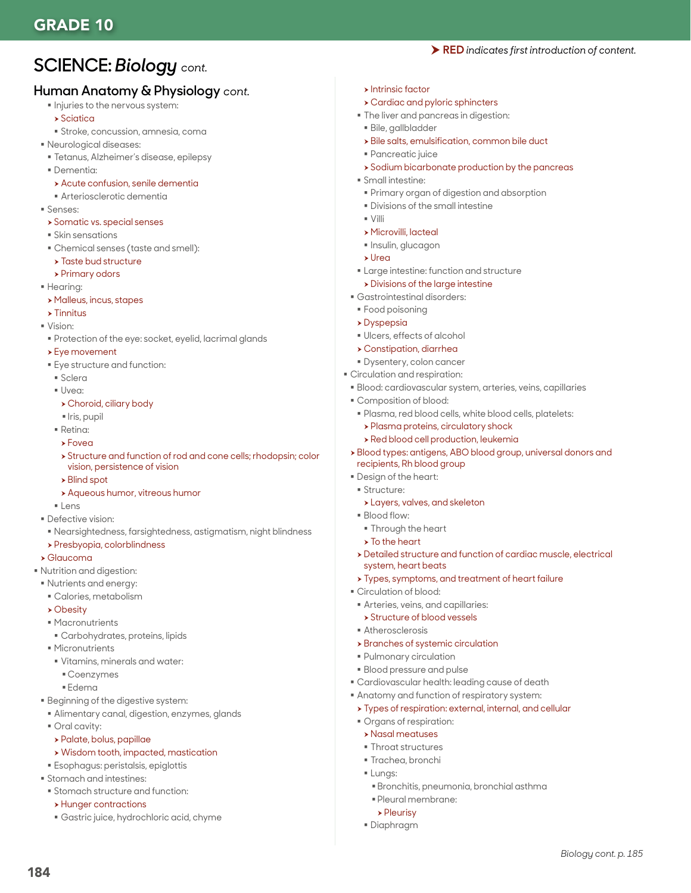# **SCIENCE:** *Biology cont.*

## **Human Anatomy & Physiology** *cont.*

- $\blacksquare$  Injuries to the nervous system:
	- $\rightarrow$  Sciatica
	- Stroke, concussion, amnesia, coma
- Neurological diseases:
- Tetanus, Alzheimer's disease, epilepsy
- Dementia:
- > Acute confusion, senile dementia
- Arteriosclerotic dementia
- Senses:
- **>** Somatic vs. special senses
- Skin sensations
- Chemical senses (taste and smell):
- $\rightarrow$  Taste bud structure
- $\triangleright$  Primary odors
- **Hearing:**
- h Malleus, incus, stapes
- $\rightarrow$  Tinnitus
- Vision:
- Protection of the eye: socket, eyelid, lacrimal glands
- $\rightarrow$  Eye movement
- Eye structure and function:
- Sclera
- Uvea:
- $\triangleright$  Choroid, ciliary body
- Iris, pupil
- Retina:
- $\rightarrow$  Foved
- h Structure and function of rod and cone cells; rhodopsin; color vision, persistence of vision
- $\rightarrow$  Blind spot
- **> Aqueous humor, vitreous humor**
- **Lens**
- Defective vision:
- Nearsightedness, farsightedness, astigmatism, night blindness
- h Presbyopia, colorblindness

#### $\blacktriangleright$  Glaucoma

- Nutrition and digestion:
- Nutrients and energy:
	- Calories, metabolism
	- $\rightarrow$  Obesity
	- Macronutrients
	- Carbohydrates, proteins, lipids
	- **Micronutrients**
	- Vitamins, minerals and water:
		- Coenzymes
	- Edema
- **Beginning of the digestive system:**
- Alimentary canal, digestion, enzymes, glands
- Oral cavity:

184

- $\rightarrow$  Palate, bolus, papillae
- $\rightarrow$  Wisdom tooth, impacted, mastication
- Esophagus: peristalsis, epiglottis
- **Stomach and intestines:**
- Stomach structure and function:
- $\rightarrow$  Hunger contractions
- Gastric juice, hydrochloric acid, chyme
- $\triangleright$  Intrinsic factor
- **> Cardiac and pyloric sphincters**
- $\blacksquare$  The liver and pancreas in digestion:
- Bile, gallbladder
- $\rightarrow$  Bile salts, emulsification, common bile duct
- Pancreatic juice
- $\rightarrow$  Sodium bicarbonate production by the pancreas

RED *indicates first introduction of content.*

- Small intestine:
- Primary organ of digestion and absorption
- **Divisions of the small intestine**
- $\sqrt{\frac{1}{2}}$
- h Microvilli, lacteal
- **Insulin, glucagon**
- h Urea
- Large intestine: function and structure
- $\triangleright$  Divisions of the large intestine
- Gastrointestinal disorders:
- Food poisoning
- $\rightarrow$  Dyspepsia
- Ulcers, effects of alcohol
- $\rightarrow$  Constipation, diarrhea
- Dysentery, colon cancer
- Circulation and respiration:
- Blood: cardiovascular system, arteries, veins, capillaries
- Composition of blood:
- Plasma, red blood cells, white blood cells, platelets:
- $\rightarrow$  Plasma proteins, circulatory shock
- $\rightarrow$  Red blood cell production, leukemia
- h Blood types: antigens, ABO blood group, universal donors and recipients, Rh blood group
- Design of the heart:
- **Structure:**
- **>Layers, valves, and skeleton**
- Blood flow:
- **Through the heart**
- $\triangleright$  To the heart
- h Detailed structure and function of cardiac muscle, electrical system, heart beats

*Biology cont. p. 185*

- $\rightarrow$  Types, symptoms, and treatment of heart failure
- Circulation of blood:
- Arteries, veins, and capillaries:
- h Structure of blood vessels
- Atherosclerosis

 Pulmonary circulation Blood pressure and pulse

 Organs of respiration:  $\rightarrow$  Nasal meatuses **Throat structures** Trachea, bronchi

 Pleural membrane:  $\rho$  Pleurisy Diaphragm

**Lungs:** 

 $\rightarrow$  Branches of systemic circulation

 Cardiovascular health: leading cause of death Anatomy and function of respiratory system:  $\rightarrow$  Types of respiration: external, internal, and cellular

Bronchitis, pneumonia, bronchial asthma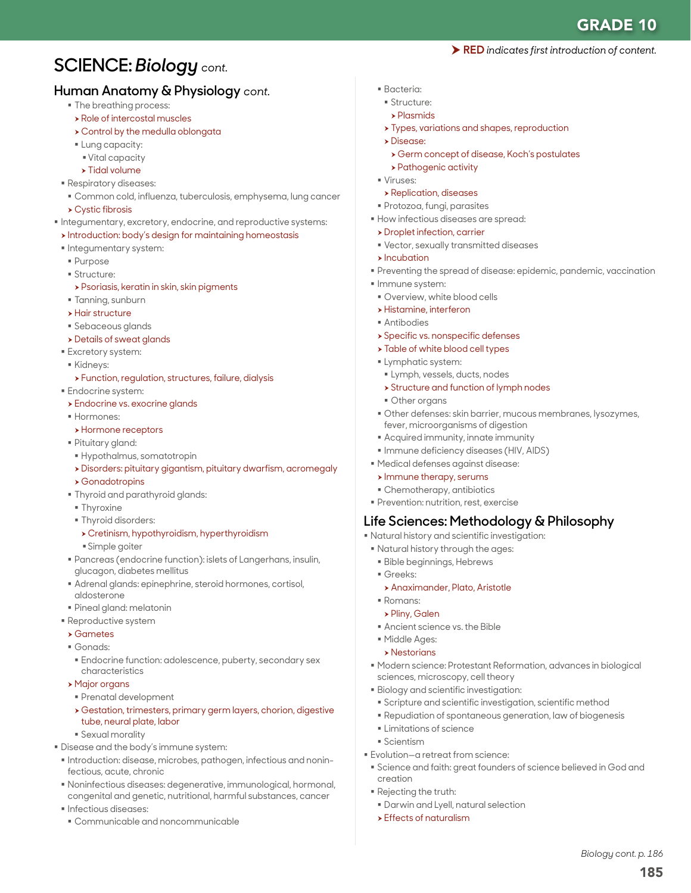RED *indicates first introduction of content.*

# **SCIENCE:** *Biology cont.*

## **Human Anatomy & Physiology** *cont.*

- The breathing process:
- $\rightarrow$  Role of intercostal muscles
- $\rightarrow$  Control by the medulla oblongata
- Lung capacity:
- Vital capacity
- $\rightarrow$  Tidal volume
- Respiratory diseases:
	- Common cold, influenza, tuberculosis, emphysema, lung cancer
- $\rightarrow$  Cystic fibrosis
- $\blacksquare$  Integumentary, excretory, endocrine, and reproductive systems:
- $\rightarrow$  Introduction: body's design for maintaining homeostasis
- **Integumentary system:**
- Purpose
- **Structure:**
- $\triangleright$  Psoriasis, keratin in skin, skin pigments
- Tanning, sunburn
- $\rightarrow$  Hair structure
- Sebaceous glands
- **>** Details of sweat glands
- **Excretory system:**
- Kidneys:
- h Function, regulation, structures, failure, dialysis
- **Endocrine system:**
- **>** Endocrine vs. exocrine glands
- Hormones:
- **h** Hormone receptors
- Pituitary gland:
- Hypothalmus, somatotropin
- h Disorders: pituitary gigantism, pituitary dwarfism, acromegaly
- $\rightarrow$  Gonadotropins
- Thyroid and parathyroid glands:
- **Thyroxine**
- **Thyroid disorders:** 
	- h Cretinism, hypothyroidism, hyperthyroidism
- Simple goiter
- Pancreas (endocrine function): islets of Langerhans, insulin, glucagon, diabetes mellitus
- Adrenal glands: epinephrine, steroid hormones, cortisol, aldosterone
- Pineal gland: melatonin
- **Reproductive system**
- $\rightarrow$  Gametes
- Gonads:
- Endocrine function: adolescence, puberty, secondary sex characteristics
- $\rightarrow$  Major organs
- Prenatal development
- h Gestation, trimesters, primary germ layers, chorion, digestive tube, neural plate, labor
- Sexual morality
- Disease and the body's immune system:
- $\blacksquare$  Introduction: disease, microbes, pathogen, infectious and noninfectious, acute, chronic
- Noninfectious diseases: degenerative, immunological, hormonal, congenital and genetic, nutritional, harmful substances, cancer
- Infectious diseases:
- Communicable and noncommunicable
- Bacteria:
- Structure:
- h Plasmids
- **> Types, variations and shapes, reproduction**
- h Disease:
- **> Germ concept of disease, Koch's postulates**
- > Pathogenic activity
- Viruses:
- **> Replication, diseases**
- Protozoa, fungi, parasites
- How infectious diseases are spread:
- **>** Droplet infection, carrier
- Vector, sexually transmitted diseases
- $\blacktriangleright$  Incubation
- Preventing the spread of disease: epidemic, pandemic, vaccination
- **Immune system:**
- Overview, white blood cells
- $\rightarrow$  Histamine, interferon
- Antibodies
- **> Specific vs. nonspecific defenses**
- **Table of white blood cell types**
- **Lymphatic system:**
- Lymph, vessels, ducts, nodes
- **> Structure and function of lymph nodes**
- Other organs
- Other defenses: skin barrier, mucous membranes, lysozymes, fever, microorganisms of digestion
- Acquired immunity, innate immunity
- **Immune deficiency diseases (HIV, AIDS)**
- Medical defenses against disease:
- $\triangleright$  Immune therapy, serums
- Chemotherapy, antibiotics
- **Prevention: nutrition, rest, exercise**

### **Life Sciences: Methodology & Philosophy**

- Natural history and scientific investigation:
- Natural history through the ages:
- Bible beginnings, Hebrews
- Greeks:
- **> Anaximander, Plato, Aristotle**
- Romans:
- h Pliny, Galen
- Ancient science vs. the Bible
- Middle Ages:

Scientism

creation Rejecting the truth:

- $\rightarrow$  Nestorians
- Modern science: Protestant Reformation, advances in biological sciences, microscopy, cell theory

Science and faith: great founders of science believed in God and

185

*Biology cont. p. 186*

Biology and scientific investigation:

**Limitations of science** 

 $\triangleright$  Effects of naturalism

Evolution—a retreat from science:

Darwin and Lyell, natural selection

 Scripture and scientific investigation, scientific method Repudiation of spontaneous generation, law of biogenesis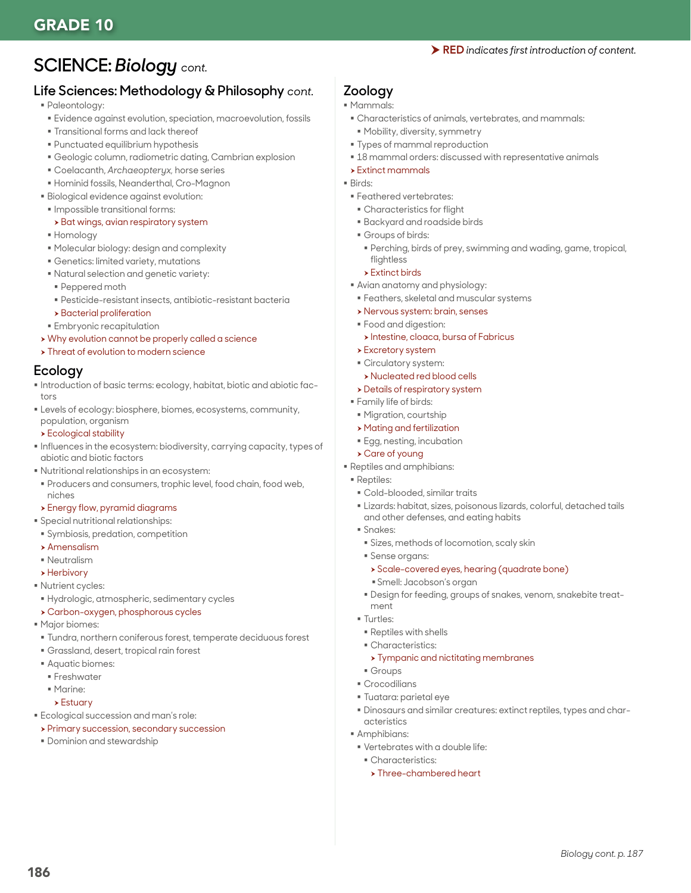## GRADE 10

#### RED *indicates first introduction of content.*

## **SCIENCE:** *Biology cont.*

## **Life Sciences: Methodology & Philosophy** *cont.*

- Paleontology:
- Evidence against evolution, speciation, macroevolution, fossils
- **Transitional forms and lack thereof**
- Punctuated equilibrium hypothesis
- Geologic column, radiometric dating, Cambrian explosion
- Coelacanth, *Archaeopteryx,* horse series
- Hominid fossils, Neanderthal, Cro-Magnon
- Biological evidence against evolution:
- Impossible transitional forms:

#### > Bat wings, avian respiratory system

- Homology
- Molecular biology: design and complexity
- Genetics: limited variety, mutations
- Natural selection and genetic variety:
- Peppered moth
- Pesticide-resistant insects, antibiotic-resistant bacteria
- $\rightarrow$  Bacterial proliferation
- **Embryonic recapitulation**
- > Why evolution cannot be properly called a science
- **> Threat of evolution to modern science**

#### **Ecology**

- Introduction of basic terms: ecology, habitat, biotic and abiotic factors
- **Levels of ecology: biosphere, biomes, ecosystems, community,** population, organism

#### $\triangleright$  Ecological stability

- **Influences in the ecosystem: biodiversity, carrying capacity, types of** abiotic and biotic factors
- Nutritional relationships in an ecosystem:
- Producers and consumers, trophic level, food chain, food web, niches

#### **>** Energy flow, pyramid diagrams

- Special nutritional relationships:
- Symbiosis, predation, competition
- $\blacktriangleright$  Amensalism
- Neutralism
- $\rightarrow$  Herbivory
- **Nutrient cycles:**
- Hydrologic, atmospheric, sedimentary cycles
- \* Carbon-oxygen, phosphorous cycles
- Major biomes:
- Tundra, northern coniferous forest, temperate deciduous forest
- Grassland, desert, tropical rain forest
- Aquatic biomes:
- **Freshwater**
- Marine:
- $\blacktriangleright$  Estuary

186

- **Ecological succession and man's role:**
- **> Primary succession, secondary succession**
- **Dominion and stewardship**

## **Zoology**

- Mammals:
- Characteristics of animals, vertebrates, and mammals:
- Mobility, diversity, symmetry
- Types of mammal reproduction
- $18$  mammal orders: discussed with representative animals
- $\rightarrow$  Extinct mammals
- Birds:
- Feathered vertebrates:
- Characteristics for flight
- Backyard and roadside birds
- Groups of birds:
- Perching, birds of prey, swimming and wading, game, tropical, flightless
- $\triangleright$  Extinct birds
- Avian anatomy and physiology:
- Feathers, skeletal and muscular systems
- h Nervous system: brain, senses
- Food and digestion:
- $\triangleright$  Intestine, cloaca, bursa of Fabricus
- $\rightarrow$  Excretory system
- Circulatory system:
- h Nucleated red blood cells
- $\rightarrow$  Details of respiratory system
- Family life of birds:
- Migration, courtship
- $\rightarrow$  Mating and fertilization
- Egg, nesting, incubation
- **> Care of young**
- Reptiles and amphibians:
- Reptiles:
	- Cold-blooded, similar traits
	- Lizards: habitat, sizes, poisonous lizards, colorful, detached tails and other defenses, and eating habits
	- Snakes:
		- Sizes, methods of locomotion, scaly skin
		- Sense organs:
		- > Scale-covered eyes, hearing (quadrate bone)
		- Smell: Jacobson's organ
	- Design for feeding, groups of snakes, venom, snakebite treatment
	- **Turtles:**
	- Reptiles with shells
	- Characteristics:
	- **> Tympanic and nictitating membranes**
	- Groups
	- **Crocodilians**
	- Tuatara: parietal eye
	- Dinosaurs and similar creatures: extinct reptiles, types and characteristics

*Biology cont. p. 187*

- **Amphibians:**
- Vertebrates with a double life:
	- Characteristics:
	- > Three-chambered heart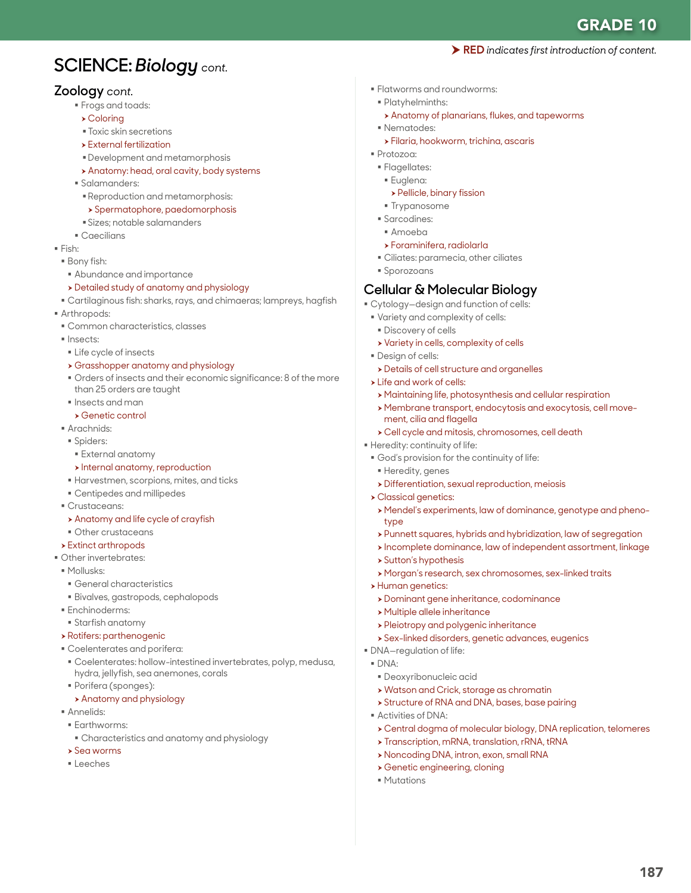GRADE 10

RED *indicates first introduction of content.*

# **SCIENCE:** *Biology cont.*

### **Zoology** *cont.*

- Frogs and toads:
	- $\triangleright$  Coloring
	- Toxic skin secretions
	- $\triangleright$  External fertilization
	- Development and metamorphosis
	- > Anatomy: head, oral cavity, body systems
- Salamanders:
	- Reproduction and metamorphosis:
	- > Spermatophore, paedomorphosis
	- Sizes; notable salamanders
- Caecilians
- $Fish:$
- Bony fish:
- Abundance and importance
- h Detailed study of anatomy and physiology
- Cartilaginous fish: sharks, rays, and chimaeras; lampreys, hagfish
- Arthropods:
- Common characteristics, classes
- Insects:
- Life cycle of insects
- h Grasshopper anatomy and physiology
- Orders of insects and their economic significance: 8 of the more than 25 orders are taught
- $\blacksquare$  Insects and man
- $\rightarrow$  Genetic control
- Arachnids:
- Spiders:
- External anatomy
- $\rightarrow$  Internal anatomy, reproduction
- Harvestmen, scorpions, mites, and ticks
- Centipedes and millipedes
- Crustaceans:
- $\rightarrow$  Anatomy and life cycle of crayfish
- Other crustaceans
- $\rightarrow$  Extinct arthropods
- Other invertebrates:
- Mollusks:
- General characteristics
- Bivalves, gastropods, cephalopods
- **Enchinoderms:**
- Starfish anatomy
- $\rightarrow$  Rotifers: parthenogenic
- Coelenterates and porifera:
- Coelenterates: hollow-intestined invertebrates, polyp, medusa, hydra, jellyfish, sea anemones, corals
- Porifera (sponges):
- **> Anatomy and physiology**
- Annelids:
- **Earthworms:**
- Characteristics and anatomy and physiology
- $\rightarrow$  Sea worms
- Leeches
- Flatworms and roundworms:
- Platyhelminths:
	- h Anatomy of planarians, flukes, and tapeworms
- Nematodes:
- $\rightarrow$  Filaria, hookworm, trichina, ascaris
- Protozoa:
- Flagellates:
- Euglena:
	- **> Pellicle, binary fission**
- **Trypanosome**
- **Sarcodines:**
- Amoeba
- h Foraminifera, radiolarla
- Ciliates: paramecia, other ciliates
- **Sporozoans**

### **Cellular & Molecular Biology**

- Cytology—design and function of cells:
- Variety and complexity of cells:
- **Discovery of cells**
- **>** Variety in cells, complexity of cells
- **Design of cells:**
- **>** Details of cell structure and organelles
- $\triangleright$  Life and work of cells:
- $\rightarrow$  Maintaining life, photosynthesis and cellular respiration
- h Membrane transport, endocytosis and exocytosis, cell movement, cilia and flagella
- h Cell cycle and mitosis, chromosomes, cell death

Heredity: continuity of life:

- God's provision for the continuity of life:
- Heredity, genes
- h Differentiation, sexual reproduction, meiosis
- h Classical genetics:
- h Mendel's experiments, law of dominance, genotype and phenotype
- > Punnett squares, hybrids and hybridization, law of segregation
- $\rightarrow$  Incomplete dominance, law of independent assortment, linkage

h Central dogma of molecular biology, DNA replication, telomeres

187

- $\triangleright$  Sutton's hypothesis
- h Morgan's research, sex chromosomes, sex-linked traits
- > Human genetics:
- **> Dominant gene inheritance, codominance**
- $\rightarrow$  Multiple allele inheritance
- **>** Pleiotropy and polygenic inheritance
- **>** Sex-linked disorders, genetic advances, eugenics
- DNA—regulation of life:
- DNA:
	- Deoxyribonucleic acid

**> Genetic engineering, cloning** 

- $\rightarrow$  Watson and Crick, storage as chromatin
- **> Structure of RNA and DNA, bases, base pairing**

**> Transcription, mRNA, translation, rRNA, tRNA** h Noncoding DNA, intron, exon, small RNA

Activities of DNA:

**Mutations**